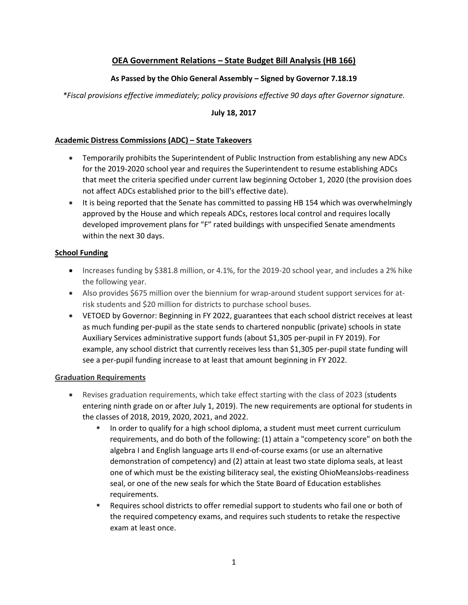# **OEA Government Relations – State Budget Bill Analysis (HB 166)**

# **As Passed by the Ohio General Assembly – Signed by Governor 7.18.19**

*\*Fiscal provisions effective immediately; policy provisions effective 90 days after Governor signature.* 

#### **July 18, 2017**

# **Academic Distress Commissions (ADC) – State Takeovers**

- Temporarily prohibits the Superintendent of Public Instruction from establishing any new ADCs for the 2019-2020 school year and requires the Superintendent to resume establishing ADCs that meet the criteria specified under current law beginning October 1, 2020 (the provision does not affect ADCs established prior to the bill's effective date).
- It is being reported that the Senate has committed to passing HB 154 which was overwhelmingly approved by the House and which repeals ADCs, restores local control and requires locally developed improvement plans for "F" rated buildings with unspecified Senate amendments within the next 30 days.

#### **School Funding**

- Increases funding by \$381.8 million, or 4.1%, for the 2019-20 school year, and includes a 2% hike the following year.
- Also provides \$675 million over the biennium for wrap-around student support services for atrisk students and \$20 million for districts to purchase school buses.
- VETOED by Governor: Beginning in FY 2022, guarantees that each school district receives at least as much funding per-pupil as the state sends to chartered nonpublic (private) schools in state Auxiliary Services administrative support funds (about \$1,305 per-pupil in FY 2019). For example, any school district that currently receives less than \$1,305 per-pupil state funding will see a per-pupil funding increase to at least that amount beginning in FY 2022.

#### **Graduation Requirements**

- Revises graduation requirements, which take effect starting with the class of 2023 (students entering ninth grade on or after July 1, 2019). The new requirements are optional for students in the classes of 2018, 2019, 2020, 2021, and 2022.
	- In order to qualify for a high school diploma, a student must meet current curriculum requirements, and do both of the following: (1) attain a "competency score" on both the algebra I and English language arts II end-of-course exams (or use an alternative demonstration of competency) and (2) attain at least two state diploma seals, at least one of which must be the existing biliteracy seal, the existing OhioMeansJobs-readiness seal, or one of the new seals for which the State Board of Education establishes requirements.
	- Requires school districts to offer remedial support to students who fail one or both of the required competency exams, and requires such students to retake the respective exam at least once.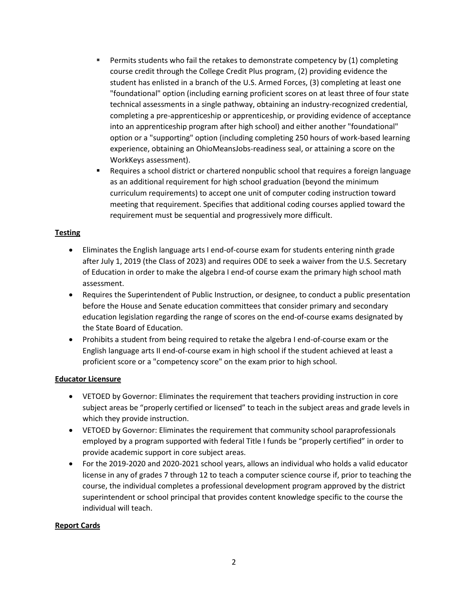- **Permits students who fail the retakes to demonstrate competency by (1) completing** course credit through the College Credit Plus program, (2) providing evidence the student has enlisted in a branch of the U.S. Armed Forces, (3) completing at least one "foundational" option (including earning proficient scores on at least three of four state technical assessments in a single pathway, obtaining an industry-recognized credential, completing a pre-apprenticeship or apprenticeship, or providing evidence of acceptance into an apprenticeship program after high school) and either another "foundational" option or a "supporting" option (including completing 250 hours of work-based learning experience, obtaining an OhioMeansJobs-readiness seal, or attaining a score on the WorkKeys assessment).
- Requires a school district or chartered nonpublic school that requires a foreign language as an additional requirement for high school graduation (beyond the minimum curriculum requirements) to accept one unit of computer coding instruction toward meeting that requirement. Specifies that additional coding courses applied toward the requirement must be sequential and progressively more difficult.

### **Testing**

- Eliminates the English language arts I end-of-course exam for students entering ninth grade after July 1, 2019 (the Class of 2023) and requires ODE to seek a waiver from the U.S. Secretary of Education in order to make the algebra I end-of course exam the primary high school math assessment.
- Requires the Superintendent of Public Instruction, or designee, to conduct a public presentation before the House and Senate education committees that consider primary and secondary education legislation regarding the range of scores on the end-of-course exams designated by the State Board of Education.
- Prohibits a student from being required to retake the algebra I end-of-course exam or the English language arts II end-of-course exam in high school if the student achieved at least a proficient score or a "competency score" on the exam prior to high school.

#### **Educator Licensure**

- VETOED by Governor: Eliminates the requirement that teachers providing instruction in core subject areas be "properly certified or licensed" to teach in the subject areas and grade levels in which they provide instruction.
- VETOED by Governor: Eliminates the requirement that community school paraprofessionals employed by a program supported with federal Title I funds be "properly certified" in order to provide academic support in core subject areas.
- For the 2019-2020 and 2020-2021 school years, allows an individual who holds a valid educator license in any of grades 7 through 12 to teach a computer science course if, prior to teaching the course, the individual completes a professional development program approved by the district superintendent or school principal that provides content knowledge specific to the course the individual will teach.

#### **Report Cards**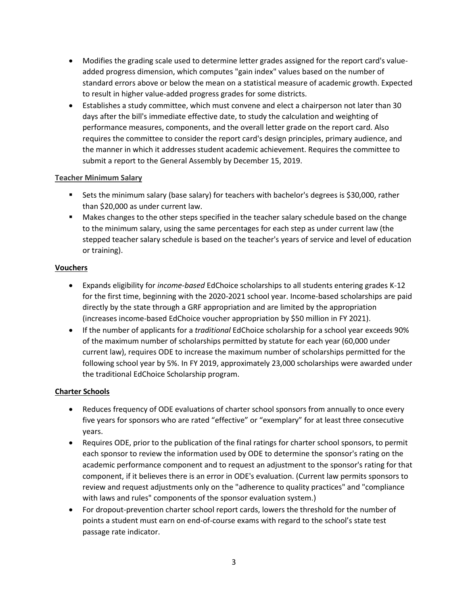- Modifies the grading scale used to determine letter grades assigned for the report card's valueadded progress dimension, which computes "gain index" values based on the number of standard errors above or below the mean on a statistical measure of academic growth. Expected to result in higher value-added progress grades for some districts.
- Establishes a study committee, which must convene and elect a chairperson not later than 30 days after the bill's immediate effective date, to study the calculation and weighting of performance measures, components, and the overall letter grade on the report card. Also requires the committee to consider the report card's design principles, primary audience, and the manner in which it addresses student academic achievement. Requires the committee to submit a report to the General Assembly by December 15, 2019.

### **Teacher Minimum Salary**

- Sets the minimum salary (base salary) for teachers with bachelor's degrees is \$30,000, rather than \$20,000 as under current law.
- Makes changes to the other steps specified in the teacher salary schedule based on the change to the minimum salary, using the same percentages for each step as under current law (the stepped teacher salary schedule is based on the teacher's years of service and level of education or training).

### **Vouchers**

- Expands eligibility for *income-based* EdChoice scholarships to all students entering grades K-12 for the first time, beginning with the 2020-2021 school year. Income-based scholarships are paid directly by the state through a GRF appropriation and are limited by the appropriation (increases income-based EdChoice voucher appropriation by \$50 million in FY 2021).
- If the number of applicants for a *traditional* EdChoice scholarship for a school year exceeds 90% of the maximum number of scholarships permitted by statute for each year (60,000 under current law), requires ODE to increase the maximum number of scholarships permitted for the following school year by 5%. In FY 2019, approximately 23,000 scholarships were awarded under the traditional EdChoice Scholarship program.

# **Charter Schools**

- Reduces frequency of ODE evaluations of charter school sponsors from annually to once every five years for sponsors who are rated "effective" or "exemplary" for at least three consecutive years.
- Requires ODE, prior to the publication of the final ratings for charter school sponsors, to permit each sponsor to review the information used by ODE to determine the sponsor's rating on the academic performance component and to request an adjustment to the sponsor's rating for that component, if it believes there is an error in ODE's evaluation. (Current law permits sponsors to review and request adjustments only on the "adherence to quality practices" and "compliance with laws and rules" components of the sponsor evaluation system.)
- For dropout-prevention charter school report cards, lowers the threshold for the number of points a student must earn on end-of-course exams with regard to the school's state test passage rate indicator.